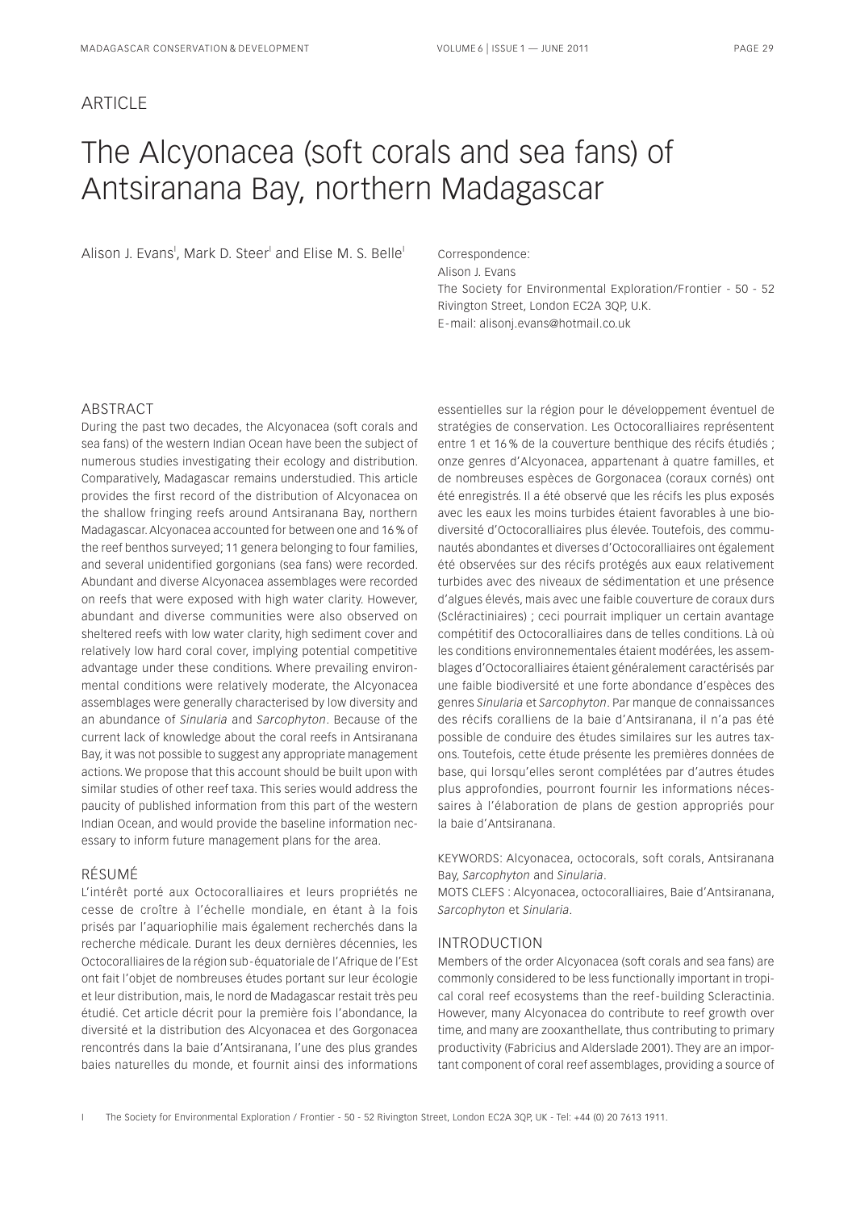# ARTICLE

# The Alcyonacea (soft corals and sea fans) of Antsiranana Bay, northern Madagascar

Alison J. Evans<sup>I</sup>, Mark D. Steer<sup>I</sup> and Elise M. S. Belle<sup>I</sup> correspondence:

Alison J. Evans The Society for Environmental Exploration/Frontier - 50 - 52 Rivington Street, London EC2A 3QP, U.K. E-mail: alisonj.evans@hotmail.co.uk

## ABSTRACT

During the past two decades, the Alcyonacea (soft corals and sea fans) of the western Indian Ocean have been the subject of numerous studies investigating their ecology and distribution. Comparatively, Madagascar remains understudied. This article provides the first record of the distribution of Alcyonacea on the shallow fringing reefs around Antsiranana Bay, northern Madagascar. Alcyonacea accounted for between one and 16 % of the reef benthos surveyed; 11 genera belonging to four families, and several unidentified gorgonians (sea fans) were recorded. Abundant and diverse Alcyonacea assemblages were recorded on reefs that were exposed with high water clarity. However, abundant and diverse communities were also observed on sheltered reefs with low water clarity, high sediment cover and relatively low hard coral cover, implying potential competitive advantage under these conditions. Where prevailing environmental conditions were relatively moderate, the Alcyonacea assemblages were generally characterised by low diversity and an abundance of *Sinularia* and *Sarcophyton*. Because of the current lack of knowledge about the coral reefs in Antsiranana Bay, it was not possible to suggest any appropriate management actions. We propose that this account should be built upon with similar studies of other reef taxa. This series would address the paucity of published information from this part of the western Indian Ocean, and would provide the baseline information necessary to inform future management plans for the area.

## RÉSUMÉ

L'intérêt porté aux Octocoralliaires et leurs propriétés ne cesse de croître à l'échelle mondiale, en étant à la fois prisés par l'aquariophilie mais également recherchés dans la recherche médicale. Durant les deux dernières décennies, les Octocoralliaires de la région sub-équatoriale de l'Afrique de l'Est ont fait l'objet de nombreuses études portant sur leur écologie et leur distribution, mais, le nord de Madagascar restait très peu étudié. Cet article décrit pour la première fois l'abondance, la diversité et la distribution des Alcyonacea et des Gorgonacea rencontrés dans la baie d'Antsiranana, l'une des plus grandes baies naturelles du monde, et fournit ainsi des informations

essentielles sur la région pour le développement éventuel de stratégies de conservation. Les Octocoralliaires représentent entre 1 et 16 % de la couverture benthique des récifs étudiés ; onze genres d'Alcyonacea, appartenant à quatre familles, et de nombreuses espèces de Gorgonacea (coraux cornés) ont été enregistrés. Il a été observé que les récifs les plus exposés avec les eaux les moins turbides étaient favorables à une biodiversité d'Octocoralliaires plus élevée. Toutefois, des communautés abondantes et diverses d'Octocoralliaires ont également été observées sur des récifs protégés aux eaux relativement turbides avec des niveaux de sédimentation et une présence d'algues élevés, mais avec une faible couverture de coraux durs (Scléractiniaires) ; ceci pourrait impliquer un certain avantage compétitif des Octocoralliaires dans de telles conditions. Là où les conditions environnementales étaient modérées, les assemblages d'Octocoralliaires étaient généralement caractérisés par une faible biodiversité et une forte abondance d'espèces des genres *Sinularia* et *Sarcophyton*. Par manque de connaissances des récifs coralliens de la baie d'Antsiranana, il n'a pas été possible de conduire des études similaires sur les autres taxons. Toutefois, cette étude présente les premières données de base, qui lorsqu'elles seront complétées par d'autres études plus approfondies, pourront fournir les informations nécessaires à l'élaboration de plans de gestion appropriés pour la baie d'Antsiranana.

KEYWORDS: Alcyonacea, octocorals, soft corals, Antsiranana Bay, *Sarcophyton* and *Sinularia*.

MOTS CLEFS : Alcyonacea, octocoralliaires, Baie d'Antsiranana, *Sarcophyton* et *Sinularia*.

## INTRODUCTION

Members of the order Alcyonacea (soft corals and sea fans) are commonly considered to be less functionally important in tropical coral reef ecosystems than the reef-building Scleractinia. However, many Alcyonacea do contribute to reef growth over time, and many are zooxanthellate, thus contributing to primary productivity (Fabricius and Alderslade 2001). They are an important component of coral reef assemblages, providing a source of

The Society for Environmental Exploration / Frontier - 50 - 52 Rivington Street, London EC2A 3QP, UK - Tel: +44 (0) 20 7613 1911.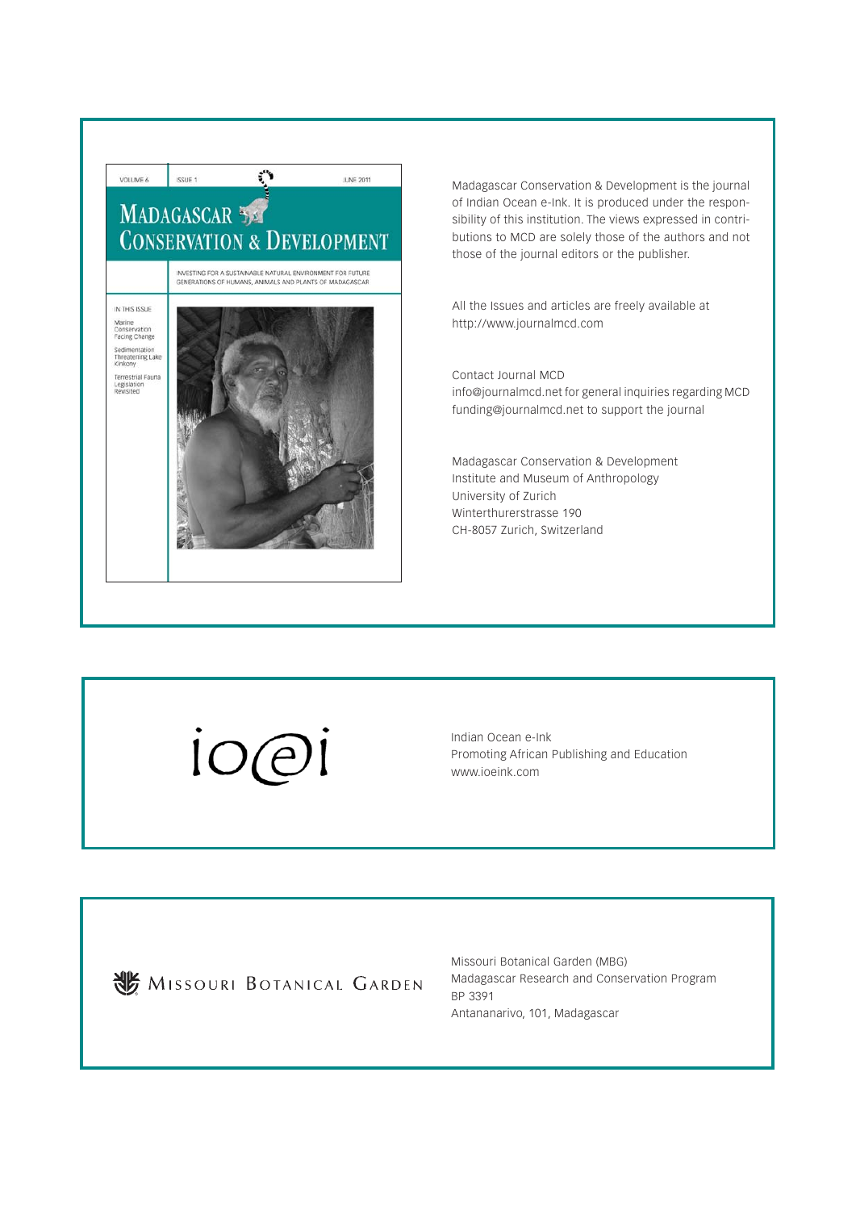

Madagascar Conservation & Development is the journal of Indian Ocean e-Ink. It is produced under the responsibility of this institution. The views expressed in contributions to MCD are solely those of the authors and not those of the journal editors or the publisher.

All the Issues and articles are freely available at http://www.journalmcd.com

Contact Journal MCD info@journalmcd.net for general inquiries regarding MCD funding@journalmcd.net to support the journal

Madagascar Conservation & Development Institute and Museum of Anthropology University of Zurich Winterthurerstrasse 190 CH-8057 Zurich, Switzerland



Indian Ocean e-Ink Promoting African Publishing and Education www.ioeink.com

MISSOURI BOTANICAL GARDEN

Missouri Botanical Garden (MBG) Madagascar Research and Conservation Program BP 3391 Antananarivo, 101, Madagascar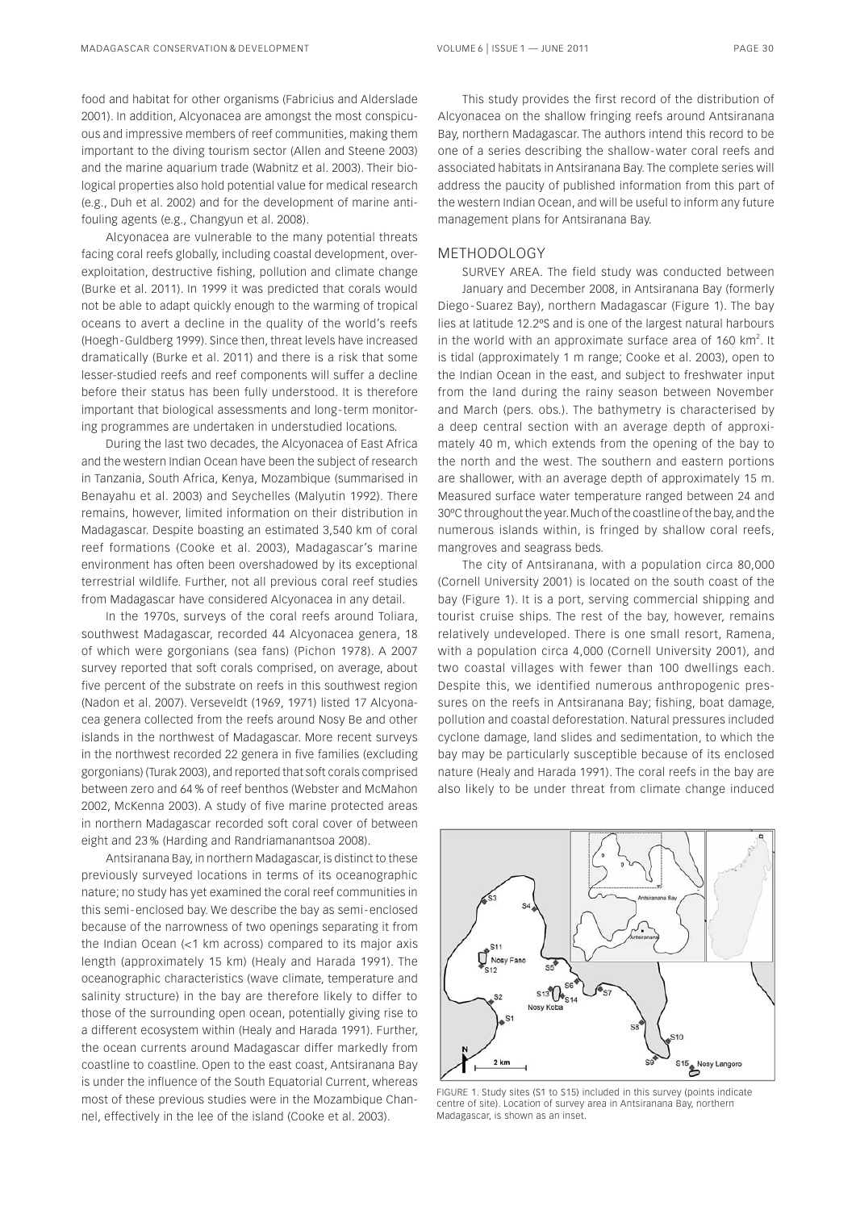food and habitat for other organisms (Fabricius and Alderslade 2001). In addition, Alcyonacea are amongst the most conspicuous and impressive members of reef communities, making them important to the diving tourism sector (Allen and Steene 2003) and the marine aquarium trade (Wabnitz et al. 2003). Their biological properties also hold potential value for medical research (e.g., Duh et al. 2002) and for the development of marine antifouling agents (e.g., Changyun et al. 2008).

Alcyonacea are vulnerable to the many potential threats facing coral reefs globally, including coastal development, overexploitation, destructive fishing, pollution and climate change (Burke et al. 2011). In 1999 it was predicted that corals would not be able to adapt quickly enough to the warming of tropical oceans to avert a decline in the quality of the world's reefs (Hoegh-Guldberg 1999). Since then, threat levels have increased dramatically (Burke et al. 2011) and there is a risk that some lesser-studied reefs and reef components will suffer a decline before their status has been fully understood. It is therefore important that biological assessments and long-term monitoring programmes are undertaken in understudied locations.

During the last two decades, the Alcyonacea of East Africa and the western Indian Ocean have been the subject of research in Tanzania, South Africa, Kenya, Mozambique (summarised in Benayahu et al. 2003) and Seychelles (Malyutin 1992). There remains, however, limited information on their distribution in Madagascar. Despite boasting an estimated 3,540 km of coral reef formations (Cooke et al. 2003), Madagascar's marine environment has often been overshadowed by its exceptional terrestrial wildlife. Further, not all previous coral reef studies from Madagascar have considered Alcyonacea in any detail.

In the 1970s, surveys of the coral reefs around Toliara, southwest Madagascar, recorded 44 Alcyonacea genera, 18 of which were gorgonians (sea fans) (Pichon 1978). A 2007 survey reported that soft corals comprised, on average, about five percent of the substrate on reefs in this southwest region (Nadon et al. 2007). Verseveldt (1969, 1971) listed 17 Alcyonacea genera collected from the reefs around Nosy Be and other islands in the northwest of Madagascar. More recent surveys in the northwest recorded 22 genera in five families (excluding gorgonians) (Turak 2003), and reported that soft corals comprised between zero and 64 % of reef benthos (Webster and McMahon 2002, McKenna 2003). A study of five marine protected areas in northern Madagascar recorded soft coral cover of between eight and 23 % (Harding and Randriamanantsoa 2008).

Antsiranana Bay, in northern Madagascar, is distinct to these previously surveyed locations in terms of its oceanographic nature; no study has yet examined the coral reef communities in this semi-enclosed bay. We describe the bay as semi-enclosed because of the narrowness of two openings separating it from the Indian Ocean (<1 km across) compared to its major axis length (approximately 15 km) (Healy and Harada 1991). The oceanographic characteristics (wave climate, temperature and salinity structure) in the bay are therefore likely to differ to those of the surrounding open ocean, potentially giving rise to a different ecosystem within (Healy and Harada 1991). Further, the ocean currents around Madagascar differ markedly from coastline to coastline. Open to the east coast, Antsiranana Bay is under the influence of the South Equatorial Current, whereas most of these previous studies were in the Mozambique Channel, effectively in the lee of the island (Cooke et al. 2003).

This study provides the first record of the distribution of Alcyonacea on the shallow fringing reefs around Antsiranana Bay, northern Madagascar. The authors intend this record to be one of a series describing the shallow-water coral reefs and associated habitats in Antsiranana Bay. The complete series will address the paucity of published information from this part of the western Indian Ocean, and will be useful to inform any future management plans for Antsiranana Bay.

#### METHODOLOGY

SURVEY AREA. The field study was conducted between January and December 2008, in Antsiranana Bay (formerly Diego - Suarez Bay), northern Madagascar (Figure 1). The bay lies at latitude 12.2ºS and is one of the largest natural harbours in the world with an approximate surface area of  $160 \text{ km}^2$ . It is tidal (approximately 1 m range; Cooke et al. 2003), open to the Indian Ocean in the east, and subject to freshwater input from the land during the rainy season between November and March (pers. obs.). The bathymetry is characterised by a deep central section with an average depth of approximately 40 m, which extends from the opening of the bay to the north and the west. The southern and eastern portions are shallower, with an average depth of approximately 15 m. Measured surface water temperature ranged between 24 and 30ºC throughout the year. Much of the coastline of the bay, and the numerous islands within, is fringed by shallow coral reefs, mangroves and seagrass beds.

The city of Antsiranana, with a population circa 80,000 (Cornell University 2001) is located on the south coast of the bay (Figure 1). It is a port, serving commercial shipping and tourist cruise ships. The rest of the bay, however, remains relatively undeveloped. There is one small resort, Ramena, with a population circa 4,000 (Cornell University 2001), and two coastal villages with fewer than 100 dwellings each. Despite this, we identified numerous anthropogenic pressures on the reefs in Antsiranana Bay; fishing, boat damage pollution and coastal deforestation. Natural pressures included cyclone damage, land slides and sedimentation, to which the bay may be particularly susceptible because of its enclosed nature (Healy and Harada 1991). The coral reefs in the bay are also likely to be under threat from climate change induced



FIGURE 1. Study sites (S1 to S15) included in this survey (points indicate centre of site). Location of survey area in Antsiranana Bay, northern Madagascar, is shown as an inset.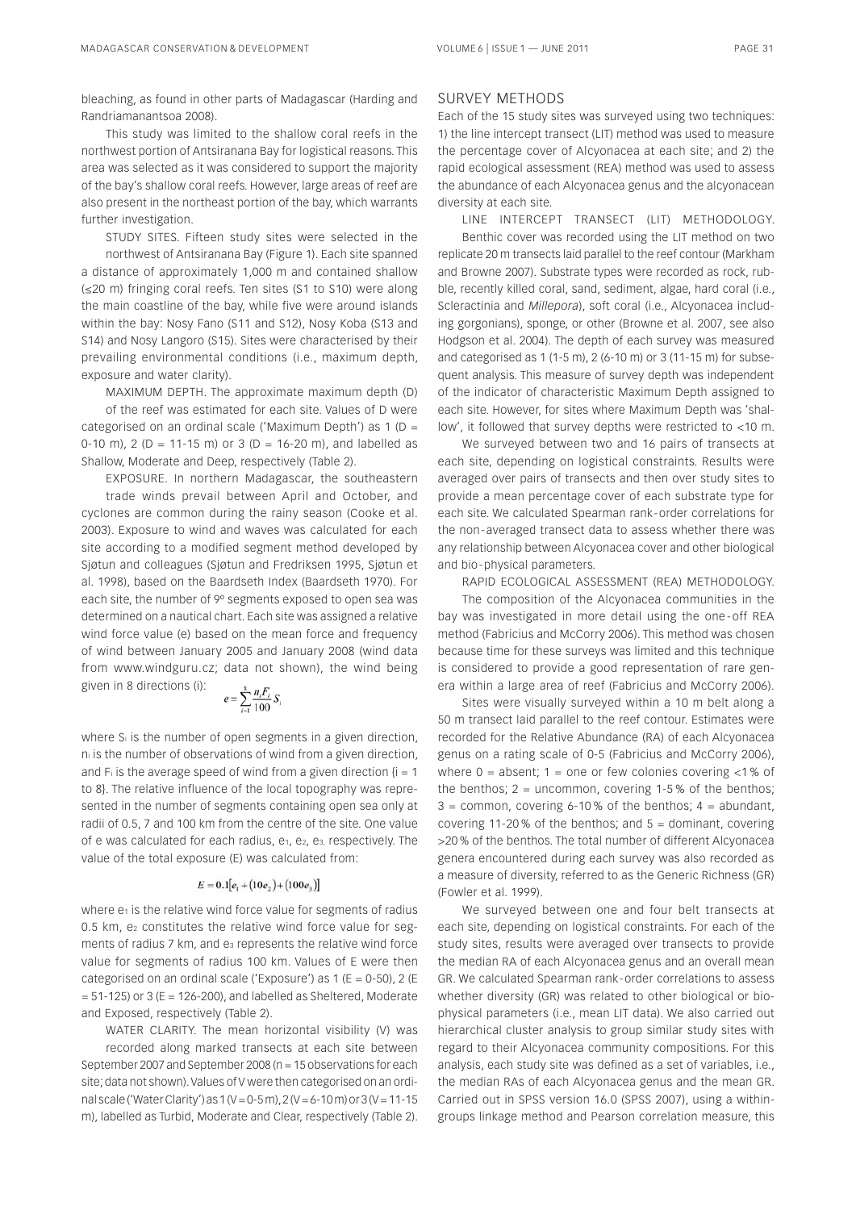bleaching, as found in other parts of Madagascar (Harding and Randriamanantsoa 2008).

This study was limited to the shallow coral reefs in the northwest portion of Antsiranana Bay for logistical reasons. This area was selected as it was considered to support the majority of the bay's shallow coral reefs. However, large areas of reef are also present in the northeast portion of the bay, which warrants further investigation.

STUDY SITES. Fifteen study sites were selected in the northwest of Antsiranana Bay (Figure 1). Each site spanned a distance of approximately 1,000 m and contained shallow (≤20 m) fringing coral reefs. Ten sites (S1 to S10) were along the main coastline of the bay, while five were around islands within the bay: Nosy Fano (S11 and S12), Nosy Koba (S13 and S14) and Nosy Langoro (S15). Sites were characterised by their prevailing environmental conditions (i.e., maximum depth, exposure and water clarity).

MAXIMUM DEPTH. The approximate maximum depth (D) of the reef was estimated for each site. Values of D were categorised on an ordinal scale ('Maximum Depth') as  $1 (D =$ 0-10 m), 2 ( $D = 11-15$  m) or 3 ( $D = 16-20$  m), and labelled as Shallow, Moderate and Deep, respectively (Table 2).

EXPOSURE. In northern Madagascar, the southeastern trade winds prevail between April and October, and cyclones are common during the rainy season (Cooke et al. 2003). Exposure to wind and waves was calculated for each site according to a modified segment method developed by Sjøtun and colleagues (Sjøtun and Fredriksen 1995, Sjøtun et al. 1998), based on the Baardseth Index (Baardseth 1970). For each site, the number of 9º segments exposed to open sea was determined on a nautical chart. Each site was assigned a relative wind force value (e) based on the mean force and frequency of wind between January 2005 and January 2008 (wind data from www.windguru.cz; data not shown), the wind being given in 8 directions (i):

$$
e = \sum_{i=1}^{8} \frac{n_i F_i}{100} S_i
$$

where S<sub>i</sub> is the number of open segments in a given direction, ni is the number of observations of wind from a given direction, and  $F_i$  is the average speed of wind from a given direction  $\{i = 1\}$ to 8}. The relative influence of the local topography was represented in the number of segments containing open sea only at radii of 0.5, 7 and 100 km from the centre of the site. One value of e was calculated for each radius, e<sub>1</sub>, e<sub>2</sub>, e<sub>3</sub>, respectively. The value of the total exposure (E) was calculated from:

#### $E = 0.1[e_1 + (10e_2) + (100e_3)]$

where e<sub>1</sub> is the relative wind force value for segments of radius 0.5 km, e<sub>2</sub> constitutes the relative wind force value for segments of radius 7 km, and e<sub>3</sub> represents the relative wind force value for segments of radius 100 km. Values of E were then categorised on an ordinal scale ('Exposure') as  $1 (E = 0.50)$ ,  $2 (E = 0.50)$  $= 51-125$ ) or 3 (E = 126-200), and labelled as Sheltered, Moderate and Exposed, respectively (Table 2).

WATER CLARITY. The mean horizontal visibility (V) was recorded along marked transects at each site between September 2007 and September 2008 (n = 15 observations for each site; data not shown). Values of V were then categorised on an ordinal scale ('Water Clarity') as  $1 (V = 0.5 m)$ ,  $2 (V = 6.10 m)$  or  $3 (V = 11.15 m)$ m), labelled as Turbid, Moderate and Clear, respectively (Table 2).

# SURVEY METHODS

Each of the 15 study sites was surveyed using two techniques: 1) the line intercept transect (LIT) method was used to measure the percentage cover of Alcyonacea at each site; and 2) the rapid ecological assessment (REA) method was used to assess the abundance of each Alcyonacea genus and the alcyonacean diversity at each site.

LINE INTERCEPT TRANSECT (LIT) METHODOLOGY. Benthic cover was recorded using the LIT method on two replicate 20 m transects laid parallel to the reef contour (Markham and Browne 2007). Substrate types were recorded as rock, rubble, recently killed coral, sand, sediment, algae, hard coral (i.e., Scleractinia and *Millepora*), soft coral (i.e., Alcyonacea including gorgonians), sponge, or other (Browne et al. 2007, see also Hodgson et al. 2004). The depth of each survey was measured and categorised as 1 (1-5 m), 2 (6-10 m) or 3 (11-15 m) for subsequent analysis. This measure of survey depth was independent of the indicator of characteristic Maximum Depth assigned to each site. However, for sites where Maximum Depth was 'shallow', it followed that survey depths were restricted to <10 m.

We surveyed between two and 16 pairs of transects at each site, depending on logistical constraints. Results were averaged over pairs of transects and then over study sites to provide a mean percentage cover of each substrate type for each site. We calculated Spearman rank-order correlations for the non-averaged transect data to assess whether there was any relationship between Alcyonacea cover and other biological and bio-physical parameters.

RAPID ECOLOGICAL ASSESSMENT (REA) METHODOLOGY.

The composition of the Alcyonacea communities in the bay was investigated in more detail using the one -off REA method (Fabricius and McCorry 2006). This method was chosen because time for these surveys was limited and this technique is considered to provide a good representation of rare genera within a large area of reef (Fabricius and McCorry 2006).

Sites were visually surveyed within a 10 m belt along a 50 m transect laid parallel to the reef contour. Estimates were recorded for the Relative Abundance (RA) of each Alcyonacea genus on a rating scale of 0-5 (Fabricius and McCorry 2006), where  $0 =$  absent;  $1 =$  one or few colonies covering <1% of the benthos;  $2 =$  uncommon, covering  $1-5$ % of the benthos;  $3 =$  common, covering 6-10% of the benthos;  $4 =$  abundant, covering 11-20% of the benthos; and  $5 =$  dominant, covering >20 % of the benthos. The total number of different Alcyonacea genera encountered during each survey was also recorded as a measure of diversity, referred to as the Generic Richness (GR) (Fowler et al. 1999).

We surveyed between one and four belt transects at each site, depending on logistical constraints. For each of the study sites, results were averaged over transects to provide the median RA of each Alcyonacea genus and an overall mean GR. We calculated Spearman rank-order correlations to assess whether diversity (GR) was related to other biological or biophysical parameters (i.e., mean LIT data). We also carried out hierarchical cluster analysis to group similar study sites with regard to their Alcyonacea community compositions. For this analysis, each study site was defined as a set of variables, i.e., the median RAs of each Alcyonacea genus and the mean GR. Carried out in SPSS version 16.0 (SPSS 2007), using a withingroups linkage method and Pearson correlation measure, this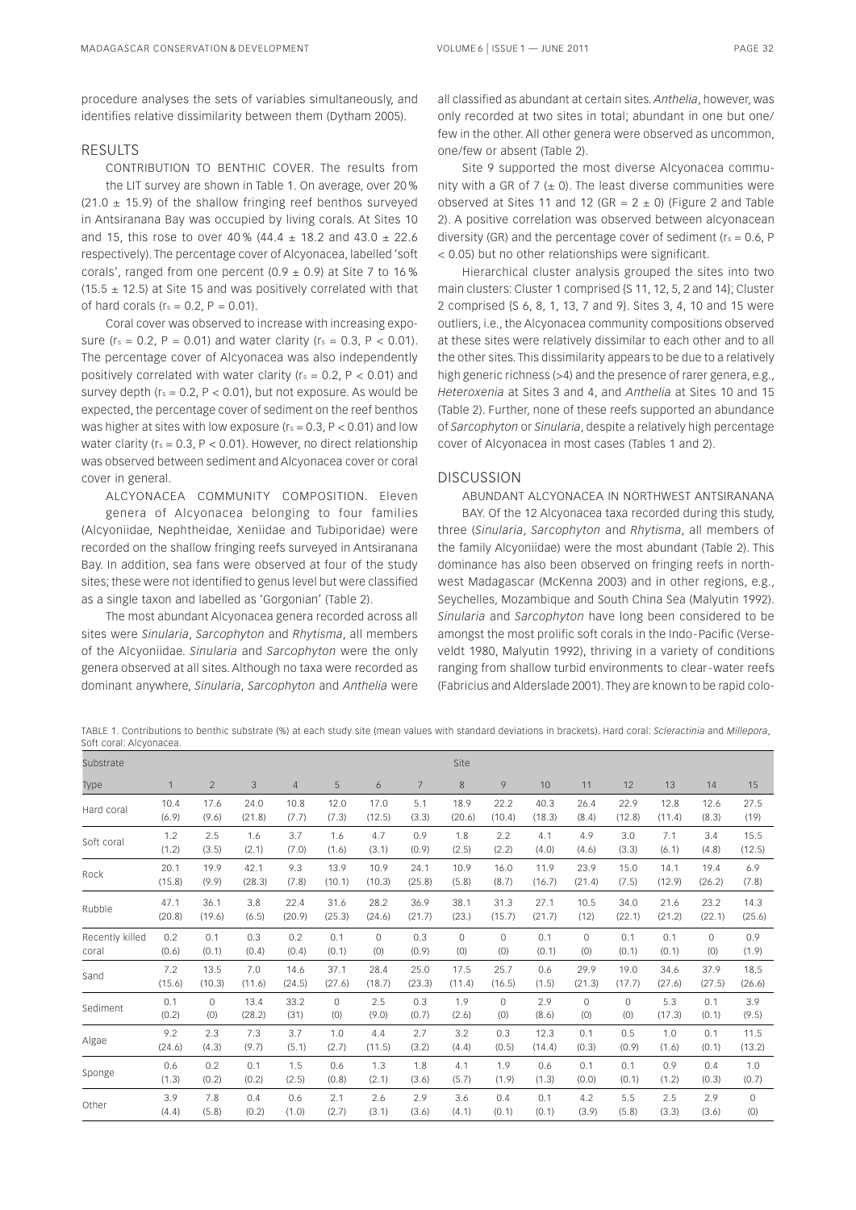procedure analyses the sets of variables simultaneously, and identifies relative dissimilarity between them (Dytham 2005).

## RESULTS

CONTRIBUTION TO BENTHIC COVER. The results from the LIT survey are shown in Table 1. On average, over 20 %  $(21.0 \pm 15.9)$  of the shallow fringing reef benthos surveyed in Antsiranana Bay was occupied by living corals. At Sites 10 and 15, this rose to over 40% (44.4  $\pm$  18.2 and 43.0  $\pm$  22.6 respectively). The percentage cover of Alcyonacea, labelled 'soft corals', ranged from one percent (0.9  $\pm$  0.9) at Site 7 to 16% (15.5  $\pm$  12.5) at Site 15 and was positively correlated with that of hard corals ( $r_s = 0.2$ ,  $P = 0.01$ ).

Coral cover was observed to increase with increasing exposure ( $r_s = 0.2$ ,  $P = 0.01$ ) and water clarity ( $r_s = 0.3$ ,  $P < 0.01$ ). The percentage cover of Alcyonacea was also independently positively correlated with water clarity ( $r_s = 0.2$ ,  $P < 0.01$ ) and survey depth ( $r_s = 0.2$ ,  $P < 0.01$ ), but not exposure. As would be expected, the percentage cover of sediment on the reef benthos was higher at sites with low exposure ( $r_s = 0.3$ ,  $P < 0.01$ ) and low water clarity ( $r_s = 0.3$ ,  $P < 0.01$ ). However, no direct relationship was observed between sediment and Alcyonacea cover or coral cover in general.

ALCYONACEA COMMUNITY COMPOSITION. Eleven genera of Alcyonacea belonging to four families (Alcyoniidae, Nephtheidae, Xeniidae and Tubiporidae) were recorded on the shallow fringing reefs surveyed in Antsiranana Bay. In addition, sea fans were observed at four of the study sites; these were not identified to genus level but were classified as a single taxon and labelled as 'Gorgonian' (Table 2).

The most abundant Alcyonacea genera recorded across all sites were *Sinularia*, *Sarcophyton* and *Rhytisma*, all members of the Alcyoniidae. *Sinularia* and *Sarcophyton* were the only genera observed at all sites. Although no taxa were recorded as dominant anywhere, *Sinularia*, *Sarcophyton* and *Anthelia* were

all classified as abundant at certain sites. *Anthelia*, however, was only recorded at two sites in total; abundant in one but one/ few in the other. All other genera were observed as uncommon, one/few or absent (Table 2).

Site 9 supported the most diverse Alcyonacea community with a GR of 7 ( $\pm$  0). The least diverse communities were observed at Sites 11 and 12 (GR =  $2 \pm 0$ ) (Figure 2 and Table 2). A positive correlation was observed between alcyonacean diversity (GR) and the percentage cover of sediment ( $r_s = 0.6$ , P < 0.05) but no other relationships were significant.

Hierarchical cluster analysis grouped the sites into two main clusters: Cluster 1 comprised {S 11, 12, 5, 2 and 14}; Cluster 2 comprised {S 6, 8, 1, 13, 7 and 9}. Sites 3, 4, 10 and 15 were outliers, i.e., the Alcyonacea community compositions observed at these sites were relatively dissimilar to each other and to all the other sites. This dissimilarity appears to be due to a relatively high generic richness (>4) and the presence of rarer genera, e.g., *Heteroxenia* at Sites 3 and 4, and *Anthelia* at Sites 10 and 15 (Table 2). Further, none of these reefs supported an abundance of *Sarcophyton* or *Sinularia*, despite a relatively high percentage cover of Alcyonacea in most cases (Tables 1 and 2).

## DISCUSSION

ABUNDANT ALCYONACEA IN NORTHWEST ANTSIRANANA

BAY. Of the 12 Alcyonacea taxa recorded during this study, three (*Sinularia*, *Sarcophyton* and *Rhytisma*, all members of the family Alcyoniidae) were the most abundant (Table 2). This dominance has also been observed on fringing reefs in northwest Madagascar (McKenna 2003) and in other regions, e.g., Seychelles, Mozambique and South China Sea (Malyutin 1992). *Sinularia* and *Sarcophyton* have long been considered to be amongst the most prolific soft corals in the Indo-Pacific (Verseveldt 1980, Malyutin 1992), thriving in a variety of conditions ranging from shallow turbid environments to clear-water reefs (Fabricius and Alderslade 2001). They are known to be rapid colo-

TABLE 1. Contributions to benthic substrate (%) at each study site (mean values with standard deviations in brackets). Hard coral: *Scleractinia* and *Millepora*, Soft coral: Alcyonacea.

| Substrate       |              |                |        |                |          |         |                | Site     |             |        |              |          |        |         |         |
|-----------------|--------------|----------------|--------|----------------|----------|---------|----------------|----------|-------------|--------|--------------|----------|--------|---------|---------|
| Type            | $\mathbf{1}$ | $\overline{2}$ | 3      | $\overline{4}$ | 5        | 6       | $\overline{7}$ | 8        | 9           | 10     | 11           | 12       | 13     | 14      | 15      |
| Hard coral      | 10.4         | 17.6           | 24.0   | 10.8           | 12.0     | 17.0    | 5.1            | 18.9     | 22.2        | 40.3   | 26.4         | 22.9     | 12.8   | 12.6    | 27.5    |
|                 | (6.9)        | (9.6)          | (21.8) | (7.7)          | (7.3)    | (12.5)  | (3.3)          | (20.6)   | (10.4)      | (18.3) | (8.4)        | (12.8)   | (11.4) | (8.3)   | (19)    |
| Soft coral      | 1.2          | 2.5            | 1.6    | 3.7            | 1.6      | 4.7     | 0.9            | 1.8      | 2.2         | 4.1    | 4.9          | 3.0      | 7.1    | 3.4     | 15.5    |
|                 | (1.2)        | (3.5)          | (2.1)  | (7.0)          | (1.6)    | (3.1)   | (0.9)          | (2.5)    | (2.2)       | (4.0)  | (4.6)        | (3.3)    | (6.1)  | (4.8)   | (12.5)  |
| Rock            | 20.1         | 19.9           | 42.1   | 9.3            | 13.9     | 10.9    | 24.1           | 10.9     | 16.0        | 11.9   | 23.9         | 15.0     | 14.1   | 19.4    | 6.9     |
|                 | (15.8)       | (9.9)          | (28.3) | (7.8)          | (10.1)   | (10.3)  | (25.8)         | (5.8)    | (8.7)       | (16.7) | (21.4)       | (7.5)    | (12.9) | (26.2)  | (7.8)   |
| Rubble          | 47.1         | 36.1           | 3.8    | 22.4           | 31.6     | 28.2    | 36.9           | 38.1     | 31.3        | 27.1   | 10.5         | 34.0     | 21.6   | 23.2    | 14.3    |
|                 | (20.8)       | (19.6)         | (6.5)  | (20.9)         | (25.3)   | (24.6)  | (21.7)         | (23.)    | (15.7)      | (21.7) | (12)         | (22.1)   | (21.2) | (22.1)  | (25.6)  |
| Recently killed | 0.2          | 0.1            | 0.3    | 0.2            | 0.1      | $\circ$ | 0.3            | $\Omega$ | $\mathbf 0$ | 0.1    | $\mathbf{0}$ | 0.1      | 0.1    | $\circ$ | 0.9     |
| coral           | (0.6)        | (0.1)          | (0.4)  | (0.4)          | (0.1)    | (0)     | (0.9)          | (0)      | (0)         | (0.1)  | (0)          | (0.1)    | (0.1)  | (0)     | (1.9)   |
| Sand            | 7.2          | 13.5           | 7.0    | 14.6           | 37.1     | 28.4    | 25.0           | 17.5     | 25.7        | 0.6    | 29.9         | 19.0     | 34.6   | 37.9    | 18.5    |
|                 | (15.6)       | (10.3)         | (11.6) | (24.5)         | (27.6)   | (18.7)  | (23.3)         | (11.4)   | (16.5)      | (1.5)  | (21.3)       | (17.7)   | (27.6) | (27.5)  | (26.6)  |
| Sediment        | 0.1          | $\Omega$       | 13.4   | 33.2           | $\Omega$ | 2.5     | 0.3            | 1.9      | $\Omega$    | 2.9    | $\Omega$     | $\Omega$ | 5.3    | 0.1     | 3.9     |
|                 | (0.2)        | (0)            | (28.2) | (31)           | (0)      | (9.0)   | (0.7)          | (2.6)    | (0)         | (8.6)  | (0)          | (0)      | (17.3) | (0.1)   | (9.5)   |
| Algae           | 9.2          | 2.3            | 7.3    | 3.7            | 1.0      | 4.4     | 2.7            | 3.2      | 0.3         | 12.3   | 0.1          | 0.5      | 1.0    | 0.1     | 11.5    |
|                 | (24.6)       | (4.3)          | (9.7)  | (5.1)          | (2.7)    | (11.5)  | (3.2)          | (4.4)    | (0.5)       | (14.4) | (0.3)        | (0.9)    | (1.6)  | (0.1)   | (13.2)  |
| Sponge          | 0.6          | 0.2            | 0.1    | 1.5            | 0.6      | 1.3     | 1.8            | 4.1      | 1.9         | 0.6    | 0.1          | 0.1      | 0.9    | 0.4     | 1.0     |
|                 | (1.3)        | (0.2)          | (0.2)  | (2.5)          | (0.8)    | (2.1)   | (3.6)          | (5.7)    | (1.9)       | (1.3)  | (0.0)        | (0.1)    | (1.2)  | (0.3)   | (0.7)   |
| Other           | 3.9          | 7.8            | 0.4    | 0.6            | 2.1      | 2.6     | 2.9            | 3.6      | 0.4         | 0.1    | 4.2          | 5.5      | 2.5    | 2.9     | $\circ$ |
|                 | (4.4)        | (5.8)          | (0.2)  | (1.0)          | (2.7)    | (3.1)   | (3.6)          | (4.1)    | (0.1)       | (0.1)  | (3.9)        | (5.8)    | (3.3)  | (3.6)   | (0)     |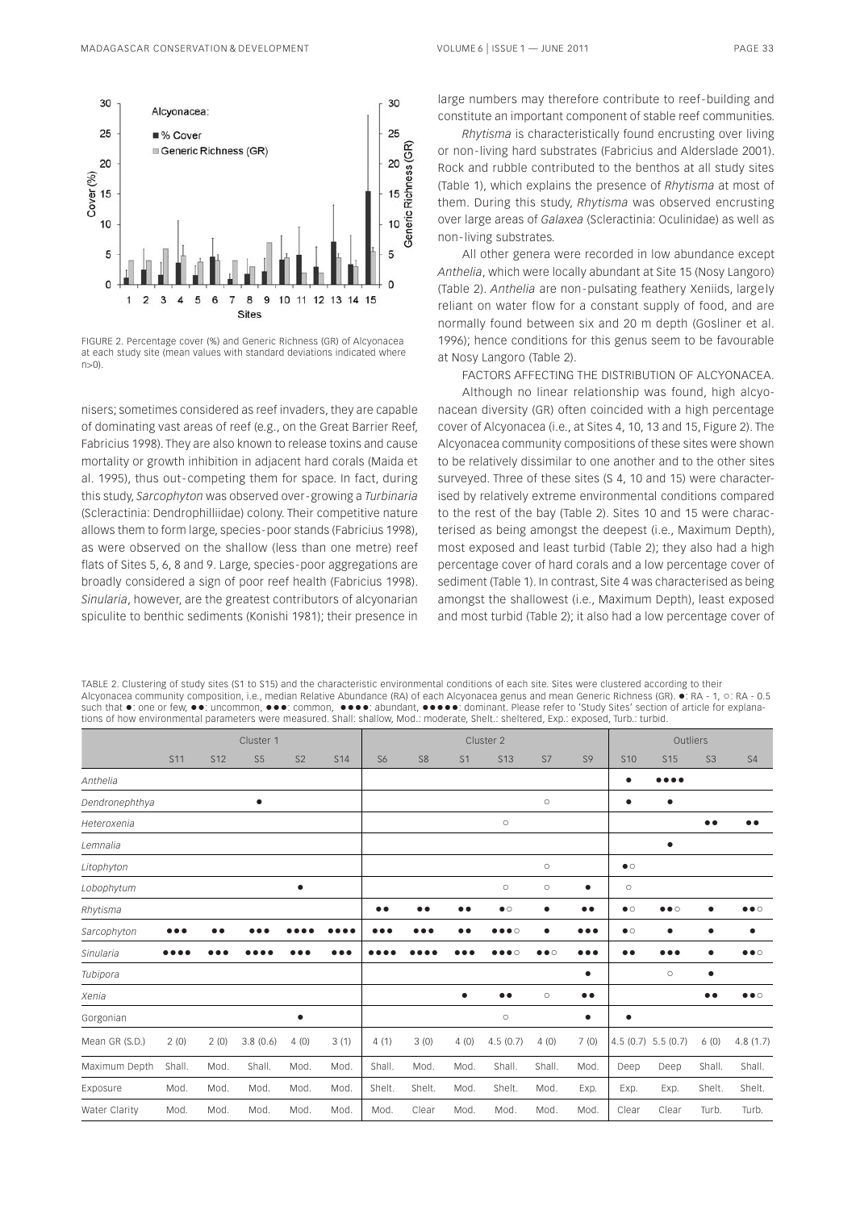

FIGURE 2. Percentage cover (%) and Generic Richness (GR) of Alcyonacea at each study site (mean values with standard deviations indicated where  $n > 0$ 

nisers; sometimes considered as reef invaders, they are capable of dominating vast areas of reef (e.g., on the Great Barrier Reef, Fabricius 1998). They are also known to release toxins and cause mortality or growth inhibition in adjacent hard corals (Maida et al. 1995), thus out- competing them for space. In fact, during this study, *Sarcophyton* was observed over-growing a *Turbinaria*  (Scleractinia: Dendrophilliidae) colony. Their competitive nature allows them to form large, species-poor stands (Fabricius 1998), as were observed on the shallow (less than one metre) reef flats of Sites 5, 6, 8 and 9. Large, species-poor aggregations are broadly considered a sign of poor reef health (Fabricius 1998). *Sinularia*, however, are the greatest contributors of alcyonarian spiculite to benthic sediments (Konishi 1981); their presence in

large numbers may therefore contribute to reef-building and constitute an important component of stable reef communities.

*Rhytisma* is characteristically found encrusting over living or non-living hard substrates (Fabricius and Alderslade 2001). Rock and rubble contributed to the benthos at all study sites (Table 1), which explains the presence of *Rhytisma* at most of them. During this study, *Rhytisma* was observed encrusting over large areas of *Galaxea* (Scleractinia: Oculinidae) as well as non-living substrates.

All other genera were recorded in low abundance except *Anthelia*, which were locally abundant at Site 15 (Nosy Langoro) (Table 2). *Anthelia* are non-pulsating feathery Xeniids, largely reliant on water flow for a constant supply of food, and are normally found between six and 20 m depth (Gosliner et al. 1996); hence conditions for this genus seem to be favourable at Nosy Langoro (Table 2).

FACTORS AFFECTING THE DISTRIBUTION OF ALCYONACEA.

Although no linear relationship was found, high alcyonacean diversity (GR) often coincided with a high percentage cover of Alcyonacea (i.e., at Sites 4, 10, 13 and 15, Figure 2). The Alcyonacea community compositions of these sites were shown to be relatively dissimilar to one another and to the other sites surveyed. Three of these sites (S 4, 10 and 15) were characterised by relatively extreme environmental conditions compared to the rest of the bay (Table 2). Sites 10 and 15 were characterised as being amongst the deepest (i.e., Maximum Depth), most exposed and least turbid (Table 2); they also had a high percentage cover of hard corals and a low percentage cover of sediment (Table 1). In contrast, Site 4 was characterised as being amongst the shallowest (i.e., Maximum Depth), least exposed and most turbid (Table 2); it also had a low percentage cover of

TABLE 2. Clustering of study sites (S1 to S15) and the characteristic environmental conditions of each site. Sites were clustered according to their Alcyonacea community composition, i.e., median Relative Abundance (RA) of each Alcyonacea genus and mean Generic Richness (GR). ●: RA - 1, ○: RA - 0.5 such that  $\bullet$ : one or few,  $\bullet\bullet$ : uncommon,  $\bullet\bullet\bullet\bullet$ : common,  $\bullet\bullet\bullet\bullet\bullet\bullet$ : abundant,  $\bullet\bullet\bullet\bullet\bullet$ : dominant. Please refer to 'Study Sites' section of article for explanations of how environmental parameters were measured. Shall: shallow, Mod.: moderate, Shelt.: sheltered, Exp.: exposed, Turb.: turbid.

|                |                         |      | Cluster 1      |                |                 | Cluster <sub>2</sub>    |                |                  |                              |                       |                         |                      | Outliers                       |                  |                       |  |  |
|----------------|-------------------------|------|----------------|----------------|-----------------|-------------------------|----------------|------------------|------------------------------|-----------------------|-------------------------|----------------------|--------------------------------|------------------|-----------------------|--|--|
|                | S11                     | S12  | S <sub>5</sub> | S <sub>2</sub> | S <sub>14</sub> | S <sub>6</sub>          | S <sub>8</sub> | S <sub>1</sub>   | <b>S13</b>                   | S7                    | S <sub>9</sub>          | S <sub>10</sub>      | <b>S15</b>                     | S <sub>3</sub>   | S <sub>4</sub>        |  |  |
| Anthelia       |                         |      |                |                |                 |                         |                |                  |                              |                       |                         | $\bullet$            | $\bullet\bullet\bullet\bullet$ |                  |                       |  |  |
| Dendronephthya |                         |      | $\bullet$      |                |                 |                         |                |                  |                              | $\circ$               |                         | $\bullet$            | $\bullet$                      |                  |                       |  |  |
| Heteroxenia    |                         |      |                |                |                 |                         |                |                  | $\circ$                      |                       |                         |                      |                                | $\bullet$        | $\bullet$             |  |  |
| Lemnalia       |                         |      |                |                |                 |                         |                |                  |                              |                       |                         |                      | $\bullet$                      |                  |                       |  |  |
| Litophyton     |                         |      |                |                |                 |                         |                |                  |                              | $\circ$               |                         | $\bullet$<br>$\circ$ |                                |                  |                       |  |  |
| Lobophytum     |                         |      |                | $\bullet$      |                 |                         |                |                  | $\circ$                      | $\circ$               | $\bullet$               | $\circ$              |                                |                  |                       |  |  |
| Rhytisma       |                         |      |                |                |                 | $\bullet\bullet$        | $\bullet$      | $\bullet$        | $\bullet$                    | $\bullet$             | $\bullet$               | $\bullet$            | $\bullet\bullet\circ$          | $\bullet$        | $\bullet\bullet\circ$ |  |  |
| Sarcophyton    | $\bullet\bullet\bullet$ |      |                |                |                 | $\bullet\bullet\bullet$ | .              | $\bullet\bullet$ | $\bullet\bullet\bullet\circ$ | $\bullet$             | $\bullet\bullet\bullet$ | $\bullet$<br>$\circ$ | $\bullet$                      | $\bullet$        | $\bullet$             |  |  |
| Sinularia      | .                       |      |                |                |                 |                         |                |                  | $\bullet\bullet\circ$        | $\bullet\bullet\circ$ | $\bullet\bullet\bullet$ | $\bullet\bullet$     | $\bullet\bullet\bullet$        | $\bullet$        | $\bullet\bullet\circ$ |  |  |
| Tubipora       |                         |      |                |                |                 |                         |                |                  |                              |                       | $\bullet$               |                      | $\circ$                        | $\bullet$        |                       |  |  |
| Xenia          |                         |      |                |                |                 |                         |                | $\bullet$        | $\bullet$                    | $\circ$               | $\bullet$               |                      |                                | $\bullet\bullet$ | $\bullet\bullet\circ$ |  |  |
| Gorgonian      |                         |      |                | $\bullet$      |                 |                         |                |                  | $\circ$                      |                       | $\bullet$               | ٠                    |                                |                  |                       |  |  |
| Mean GR (S.D.) | 2(0)                    | 2(0) | 3.8(0.6)       | 4(0)           | 3(1)            | 4(1)                    | 3(0)           | 4(0)             | 4.5(0.7)                     | 4(0)                  | 7(0)                    |                      | 4.5 (0.7) 5.5 (0.7)            | 6(0)             | 4.8(1.7)              |  |  |
| Maximum Depth  | Shall.                  | Mod. | Shall.         | Mod.           | Mod.            | Shall.                  | Mod.           | Mod.             | Shall.                       | Shall.                | Mod.                    | Deep                 | Deep                           | Shall.           | Shall.                |  |  |
| Exposure       | Mod.                    | Mod. | Mod.           | Mod.           | Mod.            | Shelt.                  | Shelt.         | Mod.             | Shelt.                       | Mod.                  | Exp.                    | Exp.                 | Exp.                           | Shelt.           | Shelt.                |  |  |
| Water Clarity  | Mod.                    | Mod. | Mod.           | Mod.           | Mod.            | Mod.                    | Clear          | Mod.             | Mod.                         | Mod.                  | Mod.                    | Clear                | Clear                          | Turb.            | Turb.                 |  |  |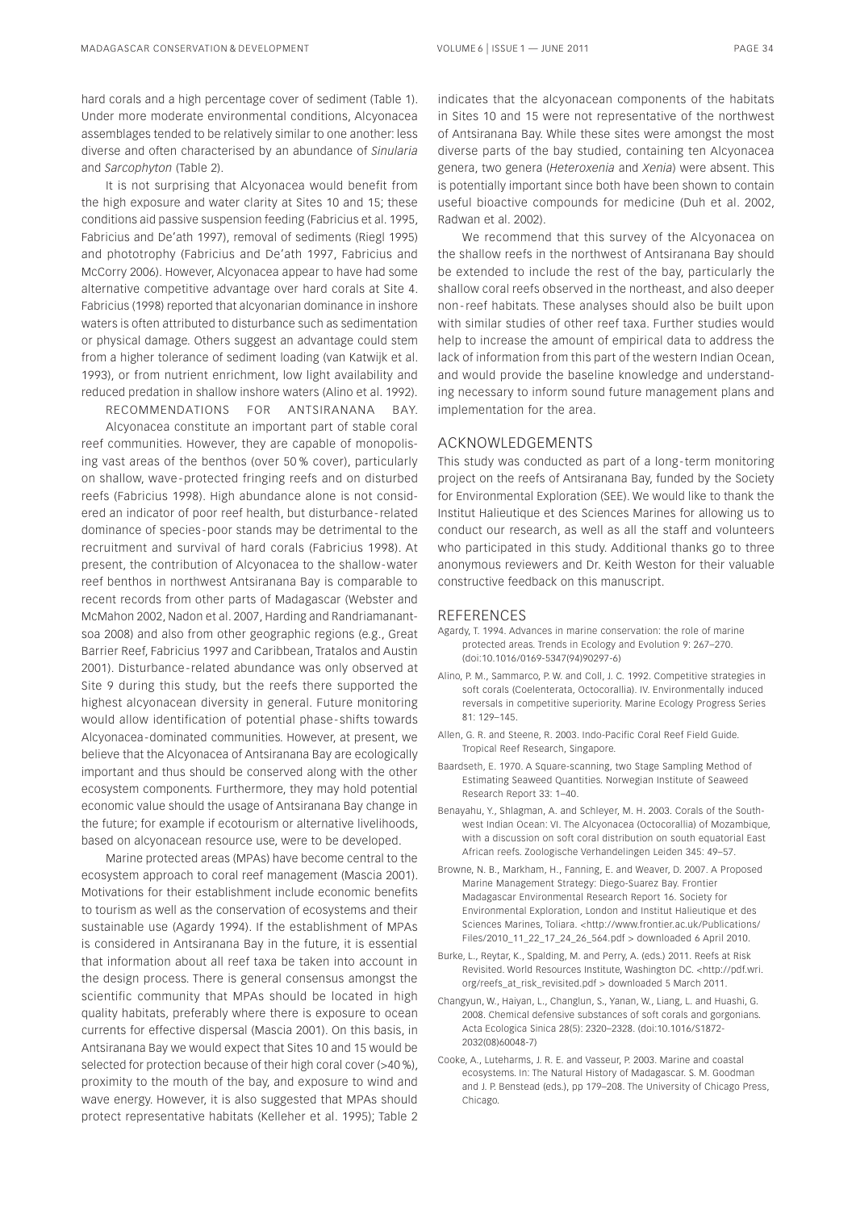hard corals and a high percentage cover of sediment (Table 1). Under more moderate environmental conditions, Alcyonacea assemblages tended to be relatively similar to one another: less diverse and often characterised by an abundance of *Sinularia*  and *Sarcophyton* (Table 2).

It is not surprising that Alcyonacea would benefit from the high exposure and water clarity at Sites 10 and 15; these conditions aid passive suspension feeding (Fabricius et al. 1995, Fabricius and De'ath 1997), removal of sediments (Riegl 1995) and phototrophy (Fabricius and De'ath 1997, Fabricius and McCorry 2006). However, Alcyonacea appear to have had some alternative competitive advantage over hard corals at Site 4. Fabricius (1998) reported that alcyonarian dominance in inshore waters is often attributed to disturbance such as sedimentation or physical damage. Others suggest an advantage could stem from a higher tolerance of sediment loading (van Katwijk et al. 1993), or from nutrient enrichment, low light availability and reduced predation in shallow inshore waters (Alino et al. 1992).

RECOMMENDATIONS FOR ANTSIRANANA BAY.

Alcyonacea constitute an important part of stable coral reef communities. However, they are capable of monopolising vast areas of the benthos (over 50 % cover), particularly on shallow, wave - protected fringing reefs and on disturbed reefs (Fabricius 1998). High abundance alone is not considered an indicator of poor reef health, but disturbance-related dominance of species -poor stands may be detrimental to the recruitment and survival of hard corals (Fabricius 1998). At present, the contribution of Alcyonacea to the shallow-water reef benthos in northwest Antsiranana Bay is comparable to recent records from other parts of Madagascar (Webster and McMahon 2002, Nadon et al. 2007, Harding and Randriamanantsoa 2008) and also from other geographic regions (e.g., Great Barrier Reef, Fabricius 1997 and Caribbean, Tratalos and Austin 2001). Disturbance-related abundance was only observed at Site 9 during this study, but the reefs there supported the highest alcyonacean diversity in general. Future monitoring would allow identification of potential phase- shifts towards Alcyonacea-dominated communities. However, at present, we believe that the Alcyonacea of Antsiranana Bay are ecologically important and thus should be conserved along with the other ecosystem components. Furthermore, they may hold potential economic value should the usage of Antsiranana Bay change in the future; for example if ecotourism or alternative livelihoods, based on alcyonacean resource use, were to be developed.

Marine protected areas (MPAs) have become central to the ecosystem approach to coral reef management (Mascia 2001). Motivations for their establishment include economic benefits to tourism as well as the conservation of ecosystems and their sustainable use (Agardy 1994). If the establishment of MPAs is considered in Antsiranana Bay in the future, it is essential that information about all reef taxa be taken into account in the design process. There is general consensus amongst the scientific community that MPAs should be located in high quality habitats, preferably where there is exposure to ocean currents for effective dispersal (Mascia 2001). On this basis, in Antsiranana Bay we would expect that Sites 10 and 15 would be selected for protection because of their high coral cover (>40 %), proximity to the mouth of the bay, and exposure to wind and wave energy. However, it is also suggested that MPAs should protect representative habitats (Kelleher et al. 1995); Table 2

indicates that the alcyonacean components of the habitats in Sites 10 and 15 were not representative of the northwest of Antsiranana Bay. While these sites were amongst the most diverse parts of the bay studied, containing ten Alcyonacea genera, two genera (*Heteroxenia* and *Xenia*) were absent. This is potentially important since both have been shown to contain useful bioactive compounds for medicine (Duh et al. 2002, Radwan et al. 2002).

We recommend that this survey of the Alcyonacea on the shallow reefs in the northwest of Antsiranana Bay should be extended to include the rest of the bay, particularly the shallow coral reefs observed in the northeast, and also deeper non -reef habitats. These analyses should also be built upon with similar studies of other reef taxa. Further studies would help to increase the amount of empirical data to address the lack of information from this part of the western Indian Ocean, and would provide the baseline knowledge and understanding necessary to inform sound future management plans and implementation for the area.

### ACKNOWLEDGEMENTS

This study was conducted as part of a long-term monitoring project on the reefs of Antsiranana Bay, funded by the Society for Environmental Exploration (SEE). We would like to thank the Institut Halieutique et des Sciences Marines for allowing us to conduct our research, as well as all the staff and volunteers who participated in this study. Additional thanks go to three anonymous reviewers and Dr. Keith Weston for their valuable constructive feedback on this manuscript.

#### REFERENCES

- Agardy, T. 1994. Advances in marine conservation: the role of marine protected areas. Trends in Ecology and Evolution 9: 267–270. (doi:10.1016/0169-5347(94)90297-6)
- Alino, P. M., Sammarco, P. W. and Coll, J. C. 1992. Competitive strategies in soft corals (Coelenterata, Octocorallia). IV. Environmentally induced reversals in competitive superiority. Marine Ecology Progress Series 81: 129–145.
- Allen, G. R. and Steene, R. 2003. Indo-Pacific Coral Reef Field Guide. Tropical Reef Research, Singapore.
- Baardseth, E. 1970. A Square-scanning, two Stage Sampling Method of Estimating Seaweed Quantities. Norwegian Institute of Seaweed Research Report 33: 1–40.
- Benayahu, Y., Shlagman, A. and Schleyer, M. H. 2003. Corals of the Southwest Indian Ocean: VI. The Alcyonacea (Octocorallia) of Mozambique, with a discussion on soft coral distribution on south equatorial East African reefs. Zoologische Verhandelingen Leiden 345: 49–57.
- Browne, N. B., Markham, H., Fanning, E. and Weaver, D. 2007. A Proposed Marine Management Strategy: Diego-Suarez Bay. Frontier Madagascar Environmental Research Report 16. Society for Environmental Exploration, London and Institut Halieutique et des Sciences Marines, Toliara. <http://www.frontier.ac.uk/Publications/ Files/2010\_11\_22\_17\_24\_26\_564.pdf > downloaded 6 April 2010.
- Burke, L., Reytar, K., Spalding, M. and Perry, A. (eds.) 2011. Reefs at Risk Revisited. World Resources Institute, Washington DC. <http://pdf.wri. org/reefs\_at\_risk\_revisited.pdf > downloaded 5 March 2011.
- Changyun, W., Haiyan, L., Changlun, S., Yanan, W., Liang, L. and Huashi, G. 2008. Chemical defensive substances of soft corals and gorgonians. Acta Ecologica Sinica 28(5): 2320–2328. (doi:10.1016/S1872- 2032(08)60048-7)
- Cooke, A., Luteharms, J. R. E. and Vasseur, P. 2003. Marine and coastal ecosystems. In: The Natural History of Madagascar. S. M. Goodman and J. P. Benstead (eds.), pp 179–208. The University of Chicago Press, Chicago.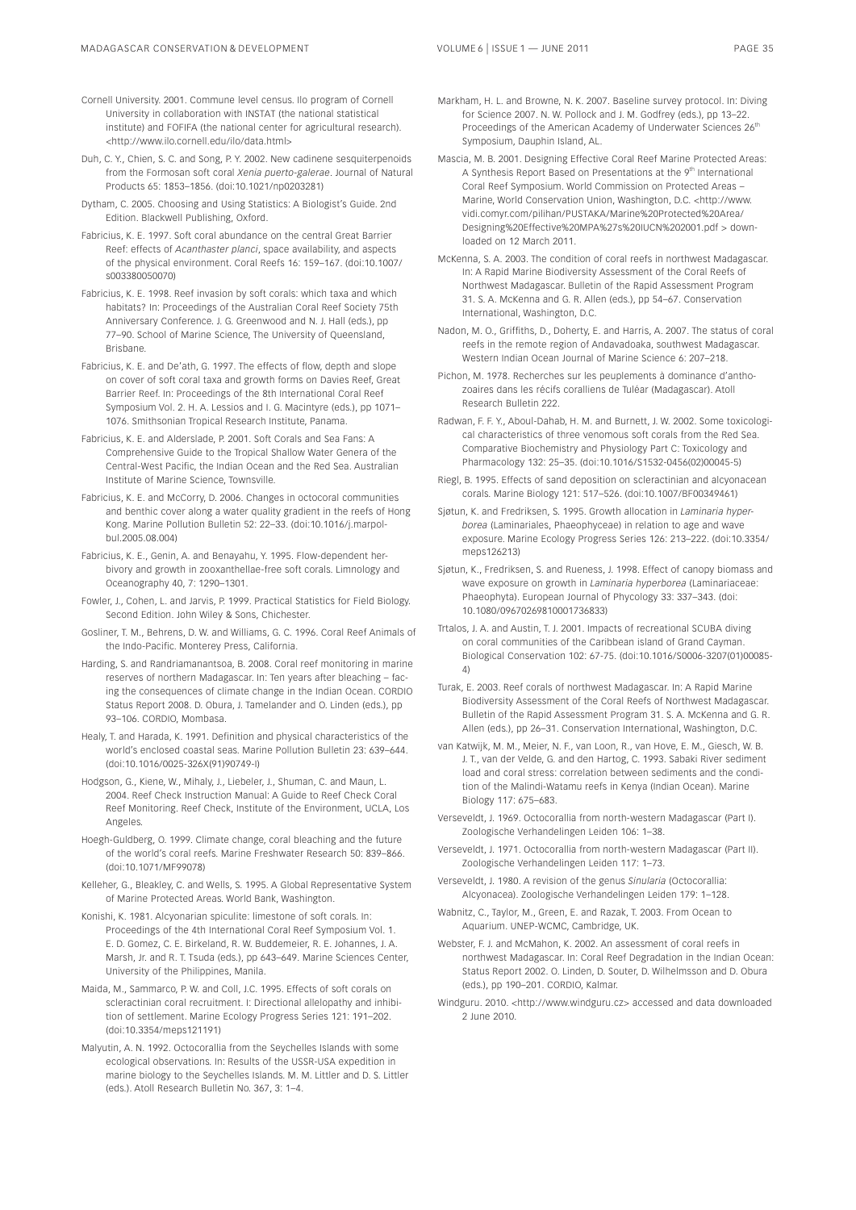- Cornell University. 2001. Commune level census. Ilo program of Cornell University in collaboration with INSTAT (the national statistical institute) and FOFIFA (the national center for agricultural research). <http://www.ilo.cornell.edu/ilo/data.html>
- Duh, C. Y., Chien, S. C. and Song, P. Y. 2002. New cadinene sesquiterpenoids from the Formosan soft coral *Xenia puerto-galerae*. Journal of Natural Products 65: 1853–1856. (doi:10.1021/np0203281)
- Dytham, C. 2005. Choosing and Using Statistics: A Biologist's Guide. 2nd Edition. Blackwell Publishing, Oxford.
- Fabricius, K. E. 1997. Soft coral abundance on the central Great Barrier Reef: effects of *Acanthaster planci*, space availability, and aspects of the physical environment. Coral Reefs 16: 159–167. (doi:10.1007/ s003380050070)
- Fabricius, K. E. 1998. Reef invasion by soft corals: which taxa and which habitats? In: Proceedings of the Australian Coral Reef Society 75th Anniversary Conference. J. G. Greenwood and N. J. Hall (eds.), pp 77–90. School of Marine Science, The University of Queensland, Brisbane.
- Fabricius, K. E. and De'ath, G. 1997. The effects of flow, depth and slope on cover of soft coral taxa and growth forms on Davies Reef, Great Barrier Reef. In: Proceedings of the 8th International Coral Reef Symposium Vol. 2. H. A. Lessios and I. G. Macintyre (eds.), pp 1071– 1076. Smithsonian Tropical Research Institute, Panama.
- Fabricius, K. E. and Alderslade, P. 2001. Soft Corals and Sea Fans: A Comprehensive Guide to the Tropical Shallow Water Genera of the Central-West Pacific, the Indian Ocean and the Red Sea. Australian Institute of Marine Science, Townsville.
- Fabricius, K. E. and McCorry, D. 2006. Changes in octocoral communities and benthic cover along a water quality gradient in the reefs of Hong Kong. Marine Pollution Bulletin 52: 22–33. (doi:10.1016/j.marpolbul.2005.08.004)
- Fabricius, K. E., Genin, A. and Benayahu, Y. 1995. Flow-dependent herbivory and growth in zooxanthellae-free soft corals. Limnology and Oceanography 40, 7: 1290–1301.
- Fowler, J., Cohen, L. and Jarvis, P. 1999. Practical Statistics for Field Biology. Second Edition. John Wiley & Sons, Chichester.
- Gosliner, T. M., Behrens, D. W. and Williams, G. C. 1996. Coral Reef Animals of the Indo-Pacific. Monterey Press, California.
- Harding, S. and Randriamanantsoa, B. 2008. Coral reef monitoring in marine reserves of northern Madagascar. In: Ten years after bleaching – facing the consequences of climate change in the Indian Ocean. CORDIO Status Report 2008. D. Obura, J. Tamelander and O. Linden (eds.), pp 93–106. CORDIO, Mombasa.
- Healy, T. and Harada, K. 1991. Definition and physical characteristics of the world's enclosed coastal seas. Marine Pollution Bulletin 23: 639–644. (doi:10.1016/0025-326X(91)90749-I)
- Hodgson, G., Kiene, W., Mihaly, J., Liebeler, J., Shuman, C. and Maun, L. 2004. Reef Check Instruction Manual: A Guide to Reef Check Coral Reef Monitoring. Reef Check, Institute of the Environment, UCLA, Los Angeles.
- Hoegh-Guldberg, O. 1999. Climate change, coral bleaching and the future of the world's coral reefs. Marine Freshwater Research 50: 839–866. (doi:10.1071/MF99078)
- Kelleher, G., Bleakley, C. and Wells, S. 1995. A Global Representative System of Marine Protected Areas. World Bank, Washington.
- Konishi, K. 1981. Alcyonarian spiculite: limestone of soft corals. In: Proceedings of the 4th International Coral Reef Symposium Vol. 1. E. D. Gomez, C. E. Birkeland, R. W. Buddemeier, R. E. Johannes, J. A. Marsh, Jr. and R. T. Tsuda (eds.), pp 643–649. Marine Sciences Center, University of the Philippines, Manila.
- Maida, M., Sammarco, P. W. and Coll, J.C. 1995. Effects of soft corals on scleractinian coral recruitment. I: Directional allelopathy and inhibition of settlement. Marine Ecology Progress Series 121: 191–202. (doi:10.3354/meps121191)
- Malyutin, A. N. 1992. Octocorallia from the Seychelles Islands with some ecological observations. In: Results of the USSR-USA expedition in marine biology to the Seychelles Islands. M. M. Littler and D. S. Littler (eds.). Atoll Research Bulletin No. 367, 3: 1–4.
- Markham, H. L. and Browne, N. K. 2007. Baseline survey protocol. In: Diving for Science 2007. N. W. Pollock and J. M. Godfrey (eds.), pp 13–22. Proceedings of the American Academy of Underwater Sciences 26<sup>th</sup> Symposium, Dauphin Island, AL.
- Mascia, M. B. 2001. Designing Effective Coral Reef Marine Protected Areas: A Synthesis Report Based on Presentations at the 9<sup>th</sup> International Coral Reef Symposium. World Commission on Protected Areas – Marine, World Conservation Union, Washington, D.C. <http://www. vidi.comyr.com/pilihan/PUSTAKA/Marine%20Protected%20Area/ Designing%20Effective%20MPA%27s%20IUCN%202001.pdf > downloaded on 12 March 2011.
- McKenna, S. A. 2003. The condition of coral reefs in northwest Madagascar. In: A Rapid Marine Biodiversity Assessment of the Coral Reefs of Northwest Madagascar. Bulletin of the Rapid Assessment Program 31. S. A. McKenna and G. R. Allen (eds.), pp 54–67. Conservation International, Washington, D.C.
- Nadon, M. O., Griffiths, D., Doherty, E. and Harris, A. 2007. The status of coral reefs in the remote region of Andavadoaka, southwest Madagascar. Western Indian Ocean Journal of Marine Science 6: 207–218.
- Pichon, M. 1978. Recherches sur les peuplements à dominance d'anthozoaires dans les récifs coralliens de Tuléar (Madagascar). Atoll Research Bulletin 222.
- Radwan, F. F. Y., Aboul-Dahab, H. M. and Burnett, J. W. 2002. Some toxicological characteristics of three venomous soft corals from the Red Sea. Comparative Biochemistry and Physiology Part C: Toxicology and Pharmacology 132: 25–35. (doi:10.1016/S1532-0456(02)00045-5)
- Riegl, B. 1995. Effects of sand deposition on scleractinian and alcyonacean corals. Marine Biology 121: 517–526. (doi:10.1007/BF00349461)
- Sjøtun, K. and Fredriksen, S. 1995. Growth allocation in *Laminaria hyperborea* (Laminariales, Phaeophyceae) in relation to age and wave exposure. Marine Ecology Progress Series 126: 213–222. (doi:10.3354/ meps126213)
- Sjøtun, K., Fredriksen, S. and Rueness, J. 1998. Effect of canopy biomass and wave exposure on growth in *Laminaria hyperborea* (Laminariaceae: Phaeophyta). European Journal of Phycology 33: 337–343. (doi: 10.1080/09670269810001736833)
- Trtalos, J. A. and Austin, T. J. 2001. Impacts of recreational SCUBA diving on coral communities of the Caribbean island of Grand Cayman. Biological Conservation 102: 67-75. (doi:10.1016/S0006-3207(01)00085- 4)
- Turak, E. 2003. Reef corals of northwest Madagascar. In: A Rapid Marine Biodiversity Assessment of the Coral Reefs of Northwest Madagascar. Bulletin of the Rapid Assessment Program 31. S. A. McKenna and G. R. Allen (eds.), pp 26–31. Conservation International, Washington, D.C.
- van Katwijk, M. M., Meier, N. F., van Loon, R., van Hove, E. M., Giesch, W. B. J. T., van der Velde, G. and den Hartog, C. 1993. Sabaki River sediment load and coral stress: correlation between sediments and the condition of the Malindi-Watamu reefs in Kenya (Indian Ocean). Marine Biology 117: 675–683.
- Verseveldt, J. 1969. Octocorallia from north-western Madagascar (Part I). Zoologische Verhandelingen Leiden 106: 1–38.
- Verseveldt, J. 1971. Octocorallia from north-western Madagascar (Part II). Zoologische Verhandelingen Leiden 117: 1–73.
- Verseveldt, J. 1980. A revision of the genus *Sinularia* (Octocorallia: Alcyonacea). Zoologische Verhandelingen Leiden 179: 1–128.
- Wabnitz, C., Taylor, M., Green, E. and Razak, T. 2003. From Ocean to Aquarium. UNEP-WCMC, Cambridge, UK.
- Webster, F. J. and McMahon, K. 2002. An assessment of coral reefs in northwest Madagascar. In: Coral Reef Degradation in the Indian Ocean: Status Report 2002. O. Linden, D. Souter, D. Wilhelmsson and D. Obura (eds.), pp 190–201. CORDIO, Kalmar.
- Windguru. 2010. <http://www.windguru.cz> accessed and data downloaded 2 June 2010.